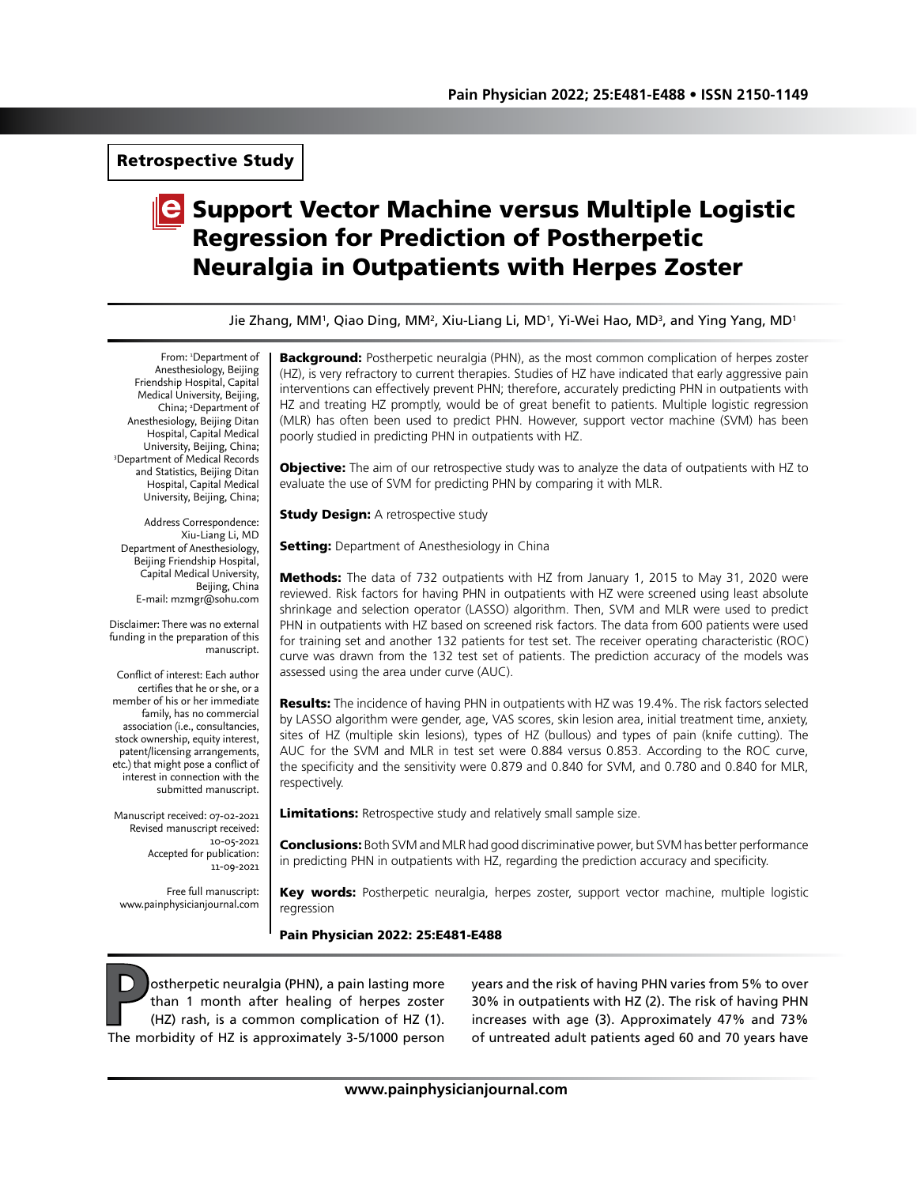Retrospective Study

# **C** Support Vector Machine versus Multiple Logistic Regression for Prediction of Postherpetic Neuralgia in Outpatients with Herpes Zoster

Jie Zhang, MM<sup>1</sup>, Qiao Ding, MM<sup>2</sup>, Xiu-Liang Li, MD<sup>1</sup>, Yi-Wei Hao, MD<sup>3</sup>, and Ying Yang, MD<sup>1</sup>

From: 'Department of Anesthesiology, Beijing Friendship Hospital, Capital Medical University, Beijing, China; 2 Department of Anesthesiology, Beijing Ditan Hospital, Capital Medical University, Beijing, China; 3 Department of Medical Records and Statistics, Beijing Ditan Hospital, Capital Medical University, Beijing, China;

Address Correspondence: Xiu-Liang Li, MD Department of Anesthesiology, Beijing Friendship Hospital, Capital Medical University, Beijing, China E-mail: mzmgr@sohu.com

Disclaimer: There was no external funding in the preparation of this manuscript.

Conflict of interest: Each author certifies that he or she, or a member of his or her immediate family, has no commercial association (i.e., consultancies, stock ownership, equity interest, patent/licensing arrangements, etc.) that might pose a conflict of interest in connection with the submitted manuscript.

Manuscript received: 07-02-2021 Revised manuscript received: 10-05-2021 Accepted for publication: 11-09-2021

Free full manuscript: www.painphysicianjournal.com

**Background:** Postherpetic neuralgia (PHN), as the most common complication of herpes zoster (HZ), is very refractory to current therapies. Studies of HZ have indicated that early aggressive pain interventions can effectively prevent PHN; therefore, accurately predicting PHN in outpatients with HZ and treating HZ promptly, would be of great benefit to patients. Multiple logistic regression (MLR) has often been used to predict PHN. However, support vector machine (SVM) has been poorly studied in predicting PHN in outpatients with HZ.

**Objective:** The aim of our retrospective study was to analyze the data of outpatients with HZ to evaluate the use of SVM for predicting PHN by comparing it with MLR.

**Study Design: A retrospective study** 

**Setting:** Department of Anesthesiology in China

**Methods:** The data of 732 outpatients with HZ from January 1, 2015 to May 31, 2020 were reviewed. Risk factors for having PHN in outpatients with HZ were screened using least absolute shrinkage and selection operator (LASSO) algorithm. Then, SVM and MLR were used to predict PHN in outpatients with HZ based on screened risk factors. The data from 600 patients were used for training set and another 132 patients for test set. The receiver operating characteristic (ROC) curve was drawn from the 132 test set of patients. The prediction accuracy of the models was assessed using the area under curve (AUC).

**Results:** The incidence of having PHN in outpatients with HZ was 19.4%. The risk factors selected by LASSO algorithm were gender, age, VAS scores, skin lesion area, initial treatment time, anxiety, sites of HZ (multiple skin lesions), types of HZ (bullous) and types of pain (knife cutting). The AUC for the SVM and MLR in test set were 0.884 versus 0.853. According to the ROC curve, the specificity and the sensitivity were 0.879 and 0.840 for SVM, and 0.780 and 0.840 for MLR, respectively.

Limitations: Retrospective study and relatively small sample size.

**Conclusions:** Both SVM and MLR had good discriminative power, but SVM has better performance in predicting PHN in outpatients with HZ, regarding the prediction accuracy and specificity.

Key words: Postherpetic neuralgia, herpes zoster, support vector machine, multiple logistic regression

Pain Physician 2022: 25:E481-E488

**Postherpetic neuralgia (PHN), a pain lasting more<br>than 1 month after healing of herpes zoster<br>(HZ) rash, is a common complication of HZ (1).<br>The morbidity of HZ is approximately 3-5/1000 person** than 1 month after healing of herpes zoster (HZ) rash, is a common complication of HZ (1). The morbidity of HZ is approximately 3-5/1000 person

years and the risk of having PHN varies from 5% to over 30% in outpatients with HZ (2). The risk of having PHN increases with age (3). Approximately 47% and 73% of untreated adult patients aged 60 and 70 years have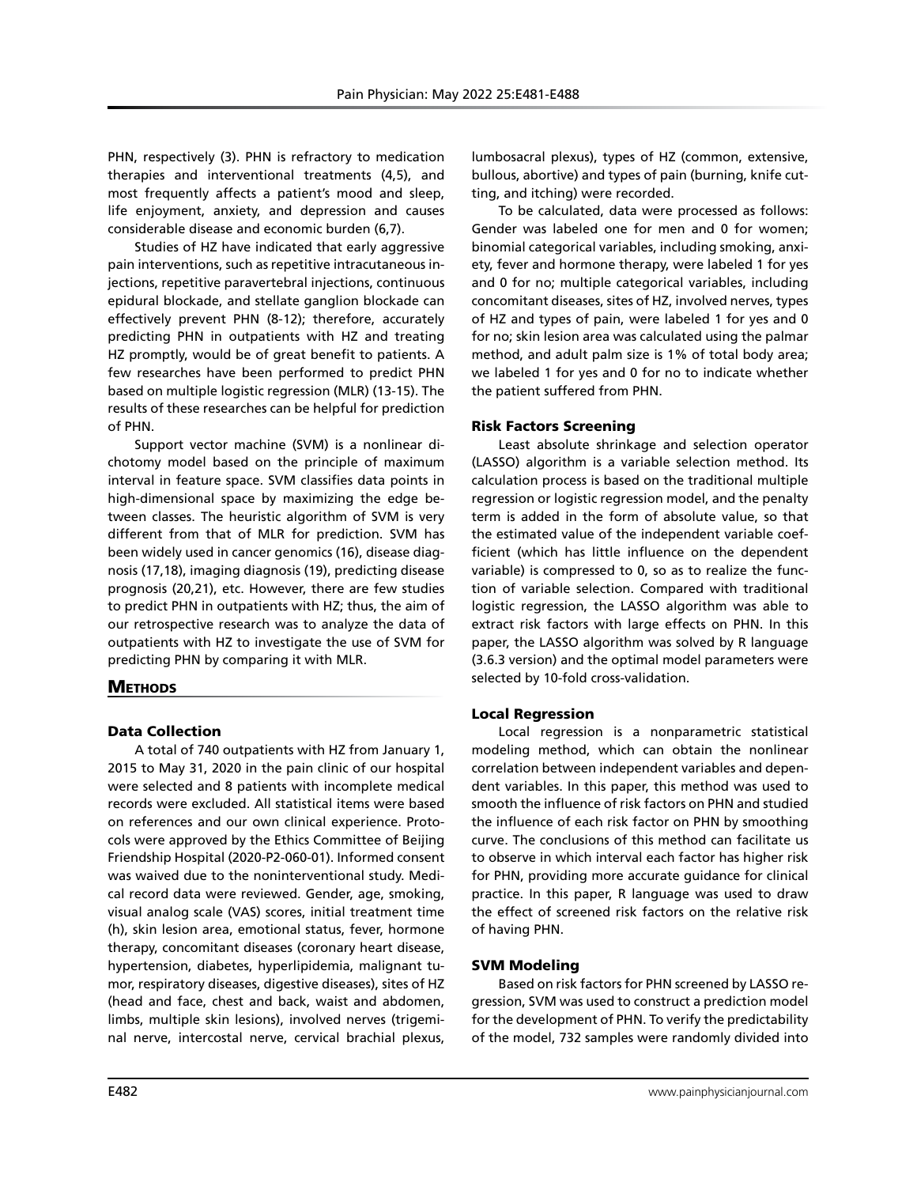PHN, respectively (3). PHN is refractory to medication therapies and interventional treatments (4,5), and most frequently affects a patient's mood and sleep, life enjoyment, anxiety, and depression and causes considerable disease and economic burden (6,7).

Studies of HZ have indicated that early aggressive pain interventions, such as repetitive intracutaneous injections, repetitive paravertebral injections, continuous epidural blockade, and stellate ganglion blockade can effectively prevent PHN (8-12); therefore, accurately predicting PHN in outpatients with HZ and treating HZ promptly, would be of great benefit to patients. A few researches have been performed to predict PHN based on multiple logistic regression (MLR) (13-15). The results of these researches can be helpful for prediction of PHN.

Support vector machine (SVM) is a nonlinear dichotomy model based on the principle of maximum interval in feature space. SVM classifies data points in high-dimensional space by maximizing the edge between classes. The heuristic algorithm of SVM is very different from that of MLR for prediction. SVM has been widely used in cancer genomics (16), disease diagnosis (17,18), imaging diagnosis (19), predicting disease prognosis (20,21), etc. However, there are few studies to predict PHN in outpatients with HZ; thus, the aim of our retrospective research was to analyze the data of outpatients with HZ to investigate the use of SVM for predicting PHN by comparing it with MLR.

# **METHODS**

# Data Collection

A total of 740 outpatients with HZ from January 1, 2015 to May 31, 2020 in the pain clinic of our hospital were selected and 8 patients with incomplete medical records were excluded. All statistical items were based on references and our own clinical experience. Protocols were approved by the Ethics Committee of Beijing Friendship Hospital (2020-P2-060-01). Informed consent was waived due to the noninterventional study. Medical record data were reviewed. Gender, age, smoking, visual analog scale (VAS) scores, initial treatment time (h), skin lesion area, emotional status, fever, hormone therapy, concomitant diseases (coronary heart disease, hypertension, diabetes, hyperlipidemia, malignant tumor, respiratory diseases, digestive diseases), sites of HZ (head and face, chest and back, waist and abdomen, limbs, multiple skin lesions), involved nerves (trigeminal nerve, intercostal nerve, cervical brachial plexus,

lumbosacral plexus), types of HZ (common, extensive, bullous, abortive) and types of pain (burning, knife cutting, and itching) were recorded.

To be calculated, data were processed as follows: Gender was labeled one for men and 0 for women; binomial categorical variables, including smoking, anxiety, fever and hormone therapy, were labeled 1 for yes and 0 for no; multiple categorical variables, including concomitant diseases, sites of HZ, involved nerves, types of HZ and types of pain, were labeled 1 for yes and 0 for no; skin lesion area was calculated using the palmar method, and adult palm size is 1% of total body area; we labeled 1 for yes and 0 for no to indicate whether the patient suffered from PHN.

## Risk Factors Screening

Least absolute shrinkage and selection operator (LASSO) algorithm is a variable selection method. Its calculation process is based on the traditional multiple regression or logistic regression model, and the penalty term is added in the form of absolute value, so that the estimated value of the independent variable coefficient (which has little influence on the dependent variable) is compressed to 0, so as to realize the function of variable selection. Compared with traditional logistic regression, the LASSO algorithm was able to extract risk factors with large effects on PHN. In this paper, the LASSO algorithm was solved by R language (3.6.3 version) and the optimal model parameters were selected by 10-fold cross-validation.

# Local Regression

Local regression is a nonparametric statistical modeling method, which can obtain the nonlinear correlation between independent variables and dependent variables. In this paper, this method was used to smooth the influence of risk factors on PHN and studied the influence of each risk factor on PHN by smoothing curve. The conclusions of this method can facilitate us to observe in which interval each factor has higher risk for PHN, providing more accurate guidance for clinical practice. In this paper, R language was used to draw the effect of screened risk factors on the relative risk of having PHN.

# SVM Modeling

Based on risk factors for PHN screened by LASSO regression, SVM was used to construct a prediction model for the development of PHN. To verify the predictability of the model, 732 samples were randomly divided into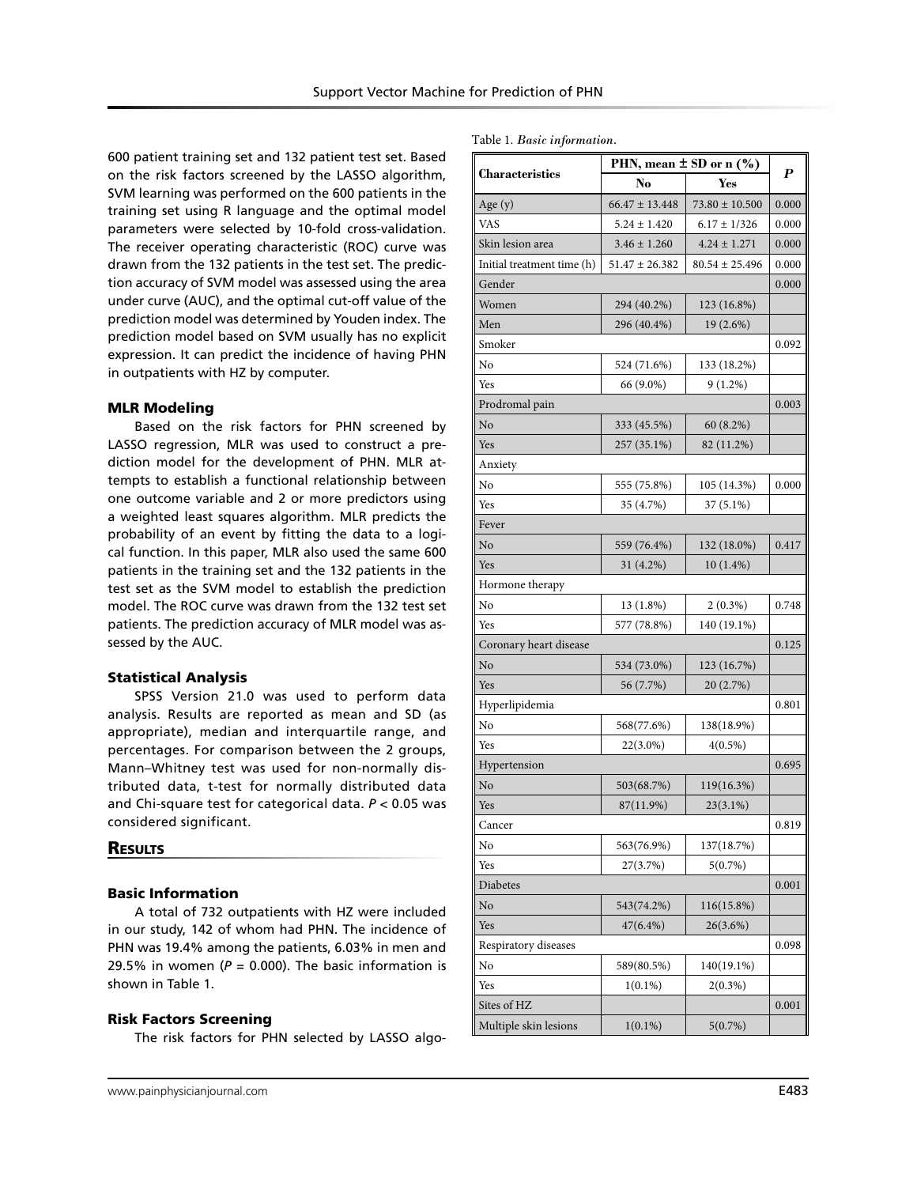Table 1. *Basic information.*

600 patient training set and 132 patient test set. Based on the risk factors screened by the LASSO algorithm, SVM learning was performed on the 600 patients in the training set using R language and the optimal model parameters were selected by 10-fold cross-validation. The receiver operating characteristic (ROC) curve was drawn from the 132 patients in the test set. The prediction accuracy of SVM model was assessed using the area under curve (AUC), and the optimal cut-off value of the prediction model was determined by Youden index. The prediction model based on SVM usually has no explicit expression. It can predict the incidence of having PHN in outpatients with HZ by computer.

## MLR Modeling

Based on the risk factors for PHN screened by LASSO regression, MLR was used to construct a prediction model for the development of PHN. MLR attempts to establish a functional relationship between one outcome variable and 2 or more predictors using a weighted least squares algorithm. MLR predicts the probability of an event by fitting the data to a logical function. In this paper, MLR also used the same 600 patients in the training set and the 132 patients in the test set as the SVM model to establish the prediction model. The ROC curve was drawn from the 132 test set patients. The prediction accuracy of MLR model was assessed by the AUC.

#### Statistical Analysis

SPSS Version 21.0 was used to perform data analysis. Results are reported as mean and SD (as appropriate), median and interquartile range, and percentages. For comparison between the 2 groups, Mann–Whitney test was used for non-normally distributed data, t-test for normally distributed data and Chi-square test for categorical data. *P* < 0.05 was considered significant.

## **RESULTS**

#### Basic Information

A total of 732 outpatients with HZ were included in our study, 142 of whom had PHN. The incidence of PHN was 19.4% among the patients, 6.03% in men and 29.5% in women ( $P = 0.000$ ). The basic information is shown in Table 1.

#### Risk Factors Screening

The risk factors for PHN selected by LASSO algo-

|                            |                    | PHN, mean $\pm$ SD or n (%) | $\boldsymbol{P}$ |
|----------------------------|--------------------|-----------------------------|------------------|
| Characteristics            | No                 | Yes                         |                  |
| Age $(y)$                  | $66.47 \pm 13.448$ | $73.80 \pm 10.500$          | 0.000            |
| VAS                        | $5.24 \pm 1.420$   | $6.17 \pm 1/326$            | 0.000            |
| Skin lesion area           | $3.46 \pm 1.260$   | $4.24 \pm 1.271$            | 0.000            |
| Initial treatment time (h) | $51.47 \pm 26.382$ | $80.54 \pm 25.496$          | 0.000            |
| Gender                     |                    |                             | 0.000            |
| Women                      | 294 (40.2%)        | 123 (16.8%)                 |                  |
| Men                        | 296 (40.4%)        | 19 (2.6%)                   |                  |
| Smoker                     |                    |                             | 0.092            |
| No                         | 524 (71.6%)        | 133 (18.2%)                 |                  |
| Yes                        | 66 (9.0%)          | $9(1.2\%)$                  |                  |
| Prodromal pain             |                    |                             | 0.003            |
| No                         | 333 (45.5%)        | 60 (8.2%)                   |                  |
| Yes                        | 257 (35.1%)        | 82 (11.2%)                  |                  |
| Anxiety                    |                    |                             |                  |
| No                         | 555 (75.8%)        | 105 (14.3%)                 | 0.000            |
| Yes                        | 35 (4.7%)          | 37 (5.1%)                   |                  |
| Fever                      |                    |                             |                  |
| No                         | 559 (76.4%)        | 132 (18.0%)                 | 0.417            |
| Yes                        | 31 (4.2%)          | $10(1.4\%)$                 |                  |
| Hormone therapy            |                    |                             |                  |
| No                         | 13 (1.8%)          | $2(0.3\%)$                  | 0.748            |
| Yes                        | 577 (78.8%)        | 140 (19.1%)                 |                  |
| Coronary heart disease     |                    |                             | 0.125            |
| No                         | 534 (73.0%)        | 123 (16.7%)                 |                  |
| Yes                        | 56 (7.7%)          | 20 (2.7%)                   |                  |
| Hyperlipidemia             |                    |                             | 0.801            |
| No                         | 568(77.6%)         | 138(18.9%)                  |                  |
| Yes                        | 22(3.0%)           | $4(0.5\%)$                  |                  |
| Hypertension               |                    |                             | 0.695            |
| No                         | 503(68.7%)         | 119(16.3%)                  |                  |
| Yes                        | 87(11.9%)          | 23(3.1%)                    |                  |
| Cancer                     |                    |                             | 0.819            |
| No                         | 563(76.9%)         | 137(18.7%)                  |                  |
| Yes                        | 27(3.7%)           | 5(0.7%)                     |                  |
| Diabetes                   |                    |                             | 0.001            |
| No                         | 543(74.2%)         | 116(15.8%)                  |                  |
| Yes                        | 47(6.4%)           | 26(3.6%)                    |                  |
| Respiratory diseases       |                    |                             | 0.098            |
| No                         | 589(80.5%)         | 140(19.1%)                  |                  |
| Yes                        | $1(0.1\%)$         | $2(0.3\%)$                  |                  |
| Sites of HZ                |                    |                             | 0.001            |
| Multiple skin lesions      | $1(0.1\%)$         | 5(0.7%)                     |                  |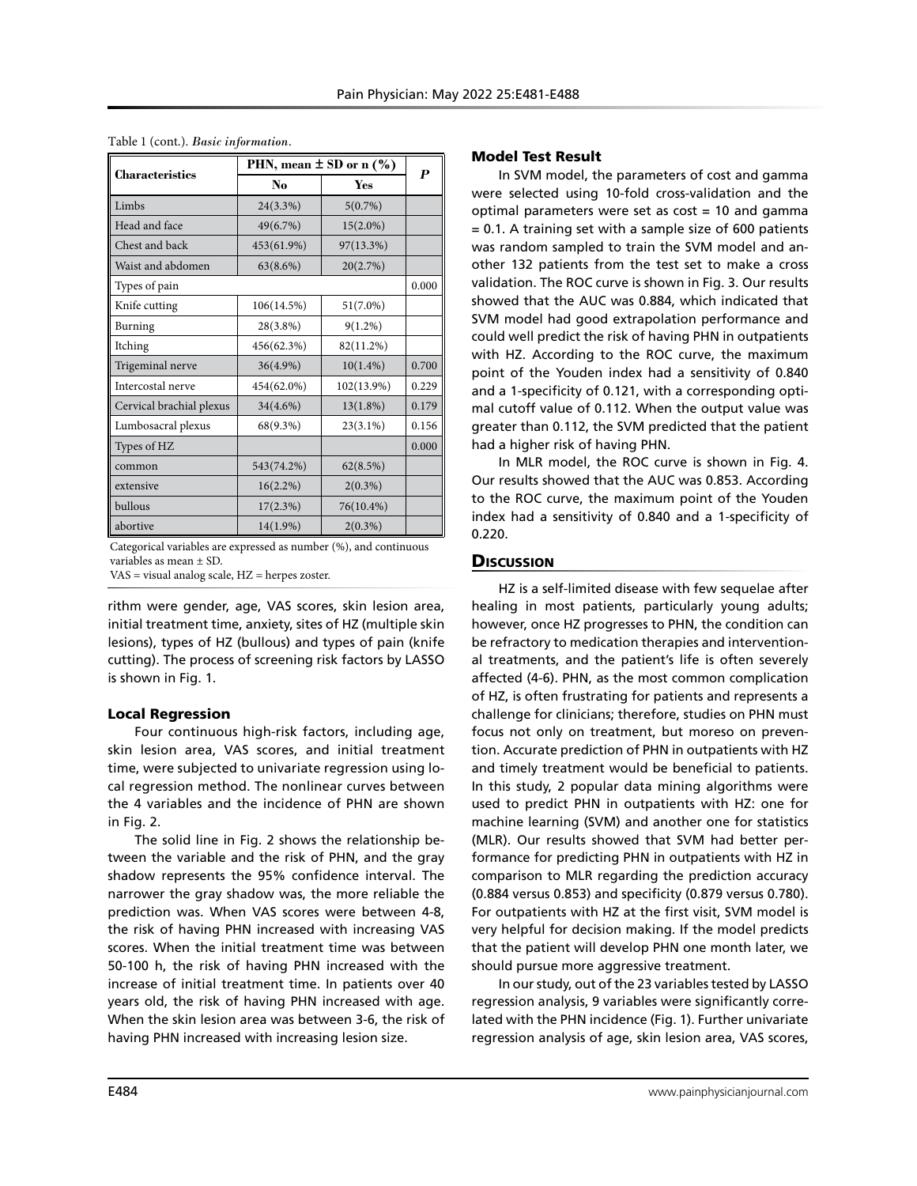|                          | PHN, mean $\pm$ SD or n $(\% )$<br>No<br>Yes | $\boldsymbol{P}$ |       |
|--------------------------|----------------------------------------------|------------------|-------|
| <b>Characteristics</b>   |                                              |                  |       |
| Limbs                    | 24(3.3%)                                     | 5(0.7%)          |       |
| Head and face            | 49(6.7%)                                     | $15(2.0\%)$      |       |
| Chest and back           | 453(61.9%)                                   | 97(13.3%)        |       |
| Waist and abdomen        | 63(8.6%)                                     | 20(2.7%)         |       |
| Types of pain            |                                              |                  | 0.000 |
| Knife cutting            | 106(14.5%)                                   | $51(7.0\%)$      |       |
| Burning                  | 28(3.8%)                                     | $9(1.2\%)$       |       |
| Itching                  | 456(62.3%)                                   | 82(11.2%)        |       |
| Trigeminal nerve         | $36(4.9\%)$                                  | $10(1.4\%)$      | 0.700 |
| Intercostal nerve        | 454(62.0%)                                   | 102(13.9%)       | 0.229 |
| Cervical brachial plexus | 34(4.6%)                                     | $13(1.8\%)$      | 0.179 |
| Lumbosacral plexus       | 68(9.3%)                                     | $23(3.1\%)$      | 0.156 |
| Types of HZ              |                                              |                  | 0.000 |
| common                   | 543(74.2%)                                   | 62(8.5%)         |       |
| extensive                | 16(2.2%)                                     | $2(0.3\%)$       |       |
| bullous                  | 17(2.3%)                                     | 76(10.4%)        |       |
| abortive                 | $14(1.9\%)$                                  | $2(0.3\%)$       |       |

Table 1 (cont.). *Basic information.*

Categorical variables are expressed as number (%), and continuous variables as mean ± SD.

VAS = visual analog scale, HZ = herpes zoster.

rithm were gender, age, VAS scores, skin lesion area, initial treatment time, anxiety, sites of HZ (multiple skin lesions), types of HZ (bullous) and types of pain (knife cutting). The process of screening risk factors by LASSO is shown in Fig. 1.

# Local Regression

Four continuous high-risk factors, including age, skin lesion area, VAS scores, and initial treatment time, were subjected to univariate regression using local regression method. The nonlinear curves between the 4 variables and the incidence of PHN are shown in Fig. 2.

The solid line in Fig. 2 shows the relationship between the variable and the risk of PHN, and the gray shadow represents the 95% confidence interval. The narrower the gray shadow was, the more reliable the prediction was. When VAS scores were between 4-8, the risk of having PHN increased with increasing VAS scores. When the initial treatment time was between 50-100 h, the risk of having PHN increased with the increase of initial treatment time. In patients over 40 years old, the risk of having PHN increased with age. When the skin lesion area was between 3-6, the risk of having PHN increased with increasing lesion size.

## Model Test Result

In SVM model, the parameters of cost and gamma were selected using 10-fold cross-validation and the optimal parameters were set as cost = 10 and gamma = 0.1. A training set with a sample size of 600 patients was random sampled to train the SVM model and another 132 patients from the test set to make a cross validation. The ROC curve is shown in Fig. 3. Our results showed that the AUC was 0.884, which indicated that SVM model had good extrapolation performance and could well predict the risk of having PHN in outpatients with HZ. According to the ROC curve, the maximum point of the Youden index had a sensitivity of 0.840 and a 1-specificity of 0.121, with a corresponding optimal cutoff value of 0.112. When the output value was greater than 0.112, the SVM predicted that the patient had a higher risk of having PHN.

In MLR model, the ROC curve is shown in Fig. 4. Our results showed that the AUC was 0.853. According to the ROC curve, the maximum point of the Youden index had a sensitivity of 0.840 and a 1-specificity of 0.220.

# **Discussion**

HZ is a self-limited disease with few sequelae after healing in most patients, particularly young adults; however, once HZ progresses to PHN, the condition can be refractory to medication therapies and interventional treatments, and the patient's life is often severely affected (4-6). PHN, as the most common complication of HZ, is often frustrating for patients and represents a challenge for clinicians; therefore, studies on PHN must focus not only on treatment, but moreso on prevention. Accurate prediction of PHN in outpatients with HZ and timely treatment would be beneficial to patients. In this study, 2 popular data mining algorithms were used to predict PHN in outpatients with HZ: one for machine learning (SVM) and another one for statistics (MLR). Our results showed that SVM had better performance for predicting PHN in outpatients with HZ in comparison to MLR regarding the prediction accuracy (0.884 versus 0.853) and specificity (0.879 versus 0.780). For outpatients with HZ at the first visit, SVM model is very helpful for decision making. If the model predicts that the patient will develop PHN one month later, we should pursue more aggressive treatment.

In our study, out of the 23 variables tested by LASSO regression analysis, 9 variables were significantly correlated with the PHN incidence (Fig. 1). Further univariate regression analysis of age, skin lesion area, VAS scores,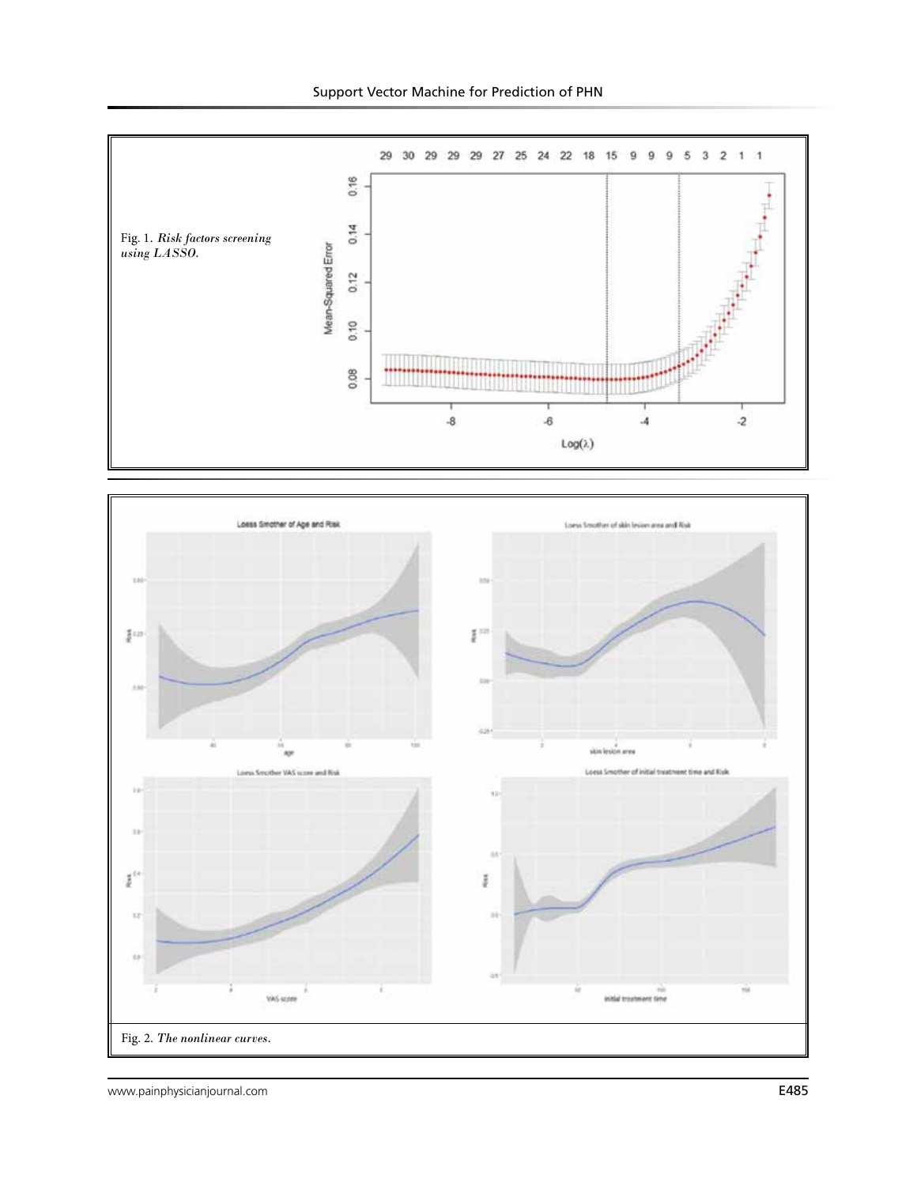

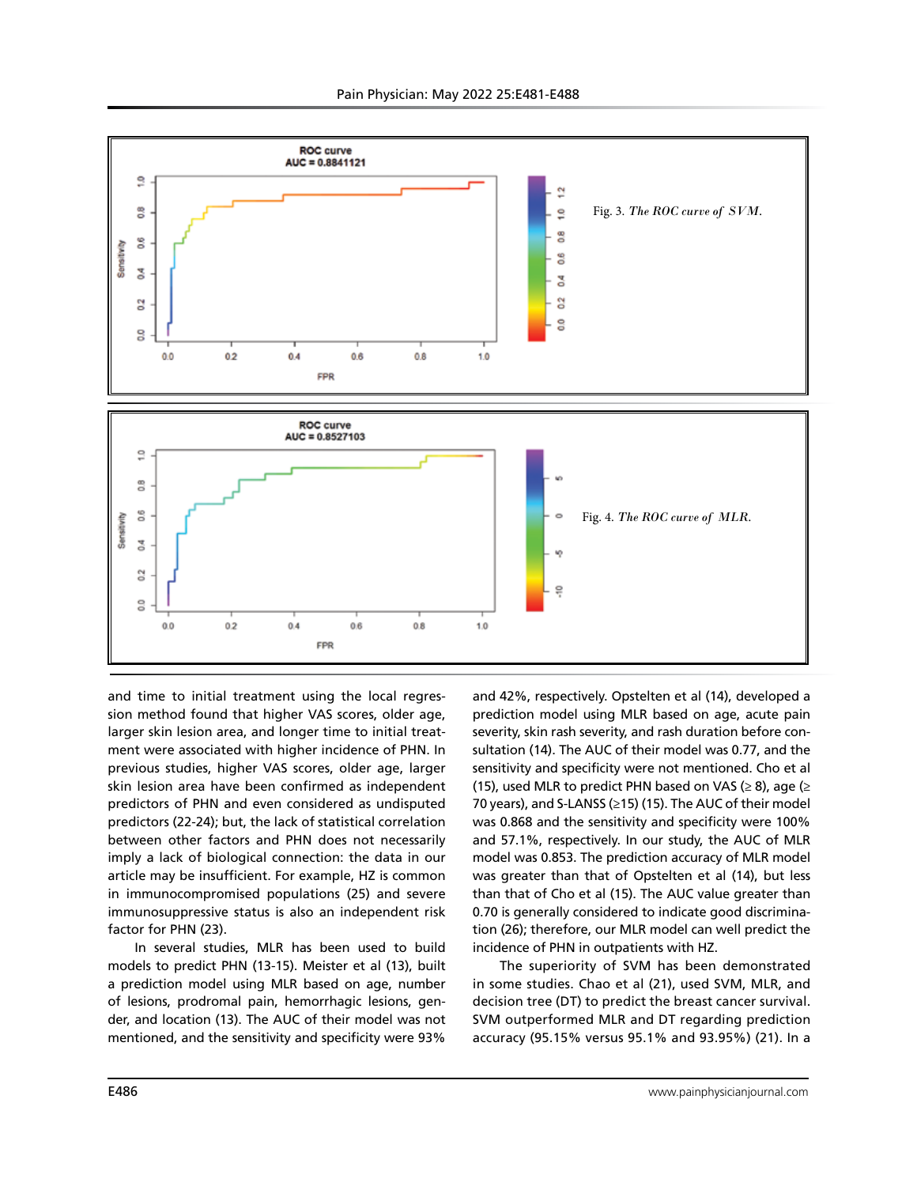

and time to initial treatment using the local regression method found that higher VAS scores, older age, larger skin lesion area, and longer time to initial treatment were associated with higher incidence of PHN. In previous studies, higher VAS scores, older age, larger skin lesion area have been confirmed as independent predictors of PHN and even considered as undisputed predictors (22-24); but, the lack of statistical correlation between other factors and PHN does not necessarily imply a lack of biological connection: the data in our article may be insufficient. For example, HZ is common in immunocompromised populations (25) and severe immunosuppressive status is also an independent risk factor for PHN (23).

In several studies, MLR has been used to build models to predict PHN (13-15). Meister et al (13), built a prediction model using MLR based on age, number of lesions, prodromal pain, hemorrhagic lesions, gender, and location (13). The AUC of their model was not mentioned, and the sensitivity and specificity were 93%

and 42%, respectively. Opstelten et al (14), developed a prediction model using MLR based on age, acute pain severity, skin rash severity, and rash duration before consultation (14). The AUC of their model was 0.77, and the sensitivity and specificity were not mentioned. Cho et al (15), used MLR to predict PHN based on VAS ( $\geq$  8), age ( $\geq$ 70 years), and S-LANSS (≥15) (15). The AUC of their model was 0.868 and the sensitivity and specificity were 100% and 57.1%, respectively. In our study, the AUC of MLR model was 0.853. The prediction accuracy of MLR model was greater than that of Opstelten et al (14), but less than that of Cho et al (15). The AUC value greater than 0.70 is generally considered to indicate good discrimination (26); therefore, our MLR model can well predict the incidence of PHN in outpatients with HZ.

The superiority of SVM has been demonstrated in some studies. Chao et al (21), used SVM, MLR, and decision tree (DT) to predict the breast cancer survival. SVM outperformed MLR and DT regarding prediction accuracy (95.15% versus 95.1% and 93.95%) (21). In a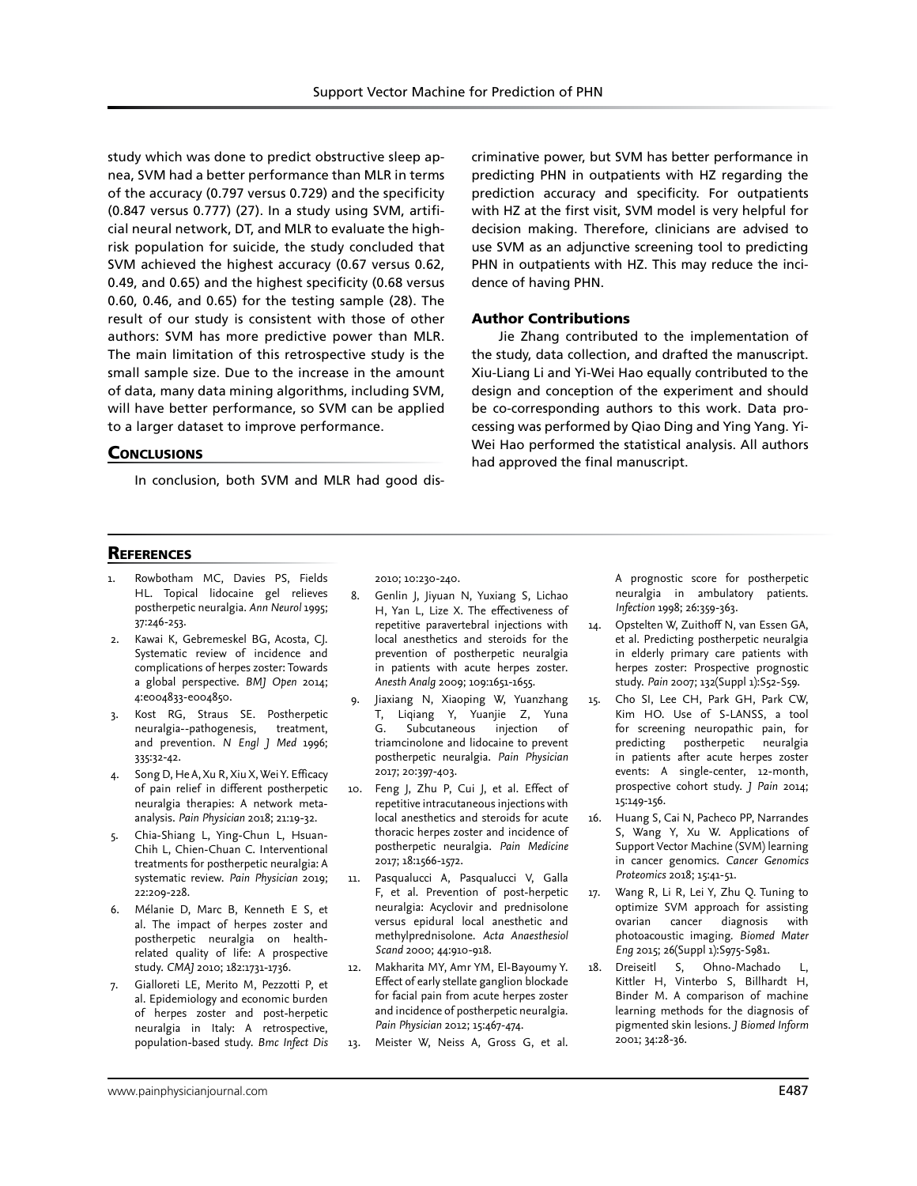study which was done to predict obstructive sleep apnea, SVM had a better performance than MLR in terms of the accuracy (0.797 versus 0.729) and the specificity (0.847 versus 0.777) (27). In a study using SVM, artificial neural network, DT, and MLR to evaluate the highrisk population for suicide, the study concluded that SVM achieved the highest accuracy (0.67 versus 0.62, 0.49, and 0.65) and the highest specificity (0.68 versus 0.60, 0.46, and 0.65) for the testing sample (28). The result of our study is consistent with those of other authors: SVM has more predictive power than MLR. The main limitation of this retrospective study is the small sample size. Due to the increase in the amount of data, many data mining algorithms, including SVM, will have better performance, so SVM can be applied to a larger dataset to improve performance.

## **CONCLUSIONS**

In conclusion, both SVM and MLR had good dis-

criminative power, but SVM has better performance in predicting PHN in outpatients with HZ regarding the prediction accuracy and specificity. For outpatients with HZ at the first visit, SVM model is very helpful for decision making. Therefore, clinicians are advised to use SVM as an adjunctive screening tool to predicting PHN in outpatients with HZ. This may reduce the incidence of having PHN.

## Author Contributions

Jie Zhang contributed to the implementation of the study, data collection, and drafted the manuscript. Xiu-Liang Li and Yi-Wei Hao equally contributed to the design and conception of the experiment and should be co-corresponding authors to this work. Data processing was performed by Qiao Ding and Ying Yang. Yi-Wei Hao performed the statistical analysis. All authors had approved the final manuscript.

## **REFERENCES**

- 1. Rowbotham MC, Davies PS, Fields HL. Topical lidocaine gel relieves postherpetic neuralgia. *Ann Neurol* 1995; 37:246-253.
- 2. Kawai K, Gebremeskel BG, Acosta, CJ. Systematic review of incidence and complications of herpes zoster: Towards a global perspective. *BMJ Open* 2014; 4:e004833-e004850.
- 3. Kost RG, Straus SE. Postherpetic neuralgia--pathogenesis, treatment, and prevention. *N Engl J Med* 1996; 335:32-42.
- 4. Song D, He A, Xu R, Xiu X, Wei Y. Efficacy of pain relief in different postherpetic neuralgia therapies: A network metaanalysis. *Pain Physician* 2018; 21:19-32.
- 5. Chia-Shiang L, Ying-Chun L, Hsuan-Chih L, Chien-Chuan C. Interventional treatments for postherpetic neuralgia: A systematic review. *Pain Physician* 2019; 22:209-228.
- 6. Mélanie D, Marc B, Kenneth E S, et al. The impact of herpes zoster and postherpetic neuralgia on healthrelated quality of life: A prospective study. *CMAJ* 2010; 182:1731-1736.
- 7. Gialloreti LE, Merito M, Pezzotti P, et al. Epidemiology and economic burden of herpes zoster and post-herpetic neuralgia in Italy: A retrospective, population-based study. *Bmc Infect Dis*

2010; 10:230-240.

- 8. Genlin J, Jiyuan N, Yuxiang S, Lichao H, Yan L, Lize X. The effectiveness of repetitive paravertebral injections with local anesthetics and steroids for the prevention of postherpetic neuralgia in patients with acute herpes zoster. *Anesth Analg* 2009; 109:1651-1655.
- 9. Jiaxiang N, Xiaoping W, Yuanzhang T, Liqiang Y, Yuanjie Z, Yuna G. Subcutaneous injection of triamcinolone and lidocaine to prevent postherpetic neuralgia. *Pain Physician* 2017; 20:397-403.
- 10. Feng J, Zhu P, Cui J, et al. Effect of repetitive intracutaneous injections with local anesthetics and steroids for acute thoracic herpes zoster and incidence of postherpetic neuralgia. *Pain Medicine* 2017; 18:1566-1572.
- 11. Pasqualucci A, Pasqualucci V, Galla F, et al. Prevention of post-herpetic neuralgia: Acyclovir and prednisolone versus epidural local anesthetic and methylprednisolone. *Acta Anaesthesiol Scand* 2000; 44:910-918.
- 12. Makharita MY, Amr YM, El-Bayoumy Y. Effect of early stellate ganglion blockade for facial pain from acute herpes zoster and incidence of postherpetic neuralgia. *Pain Physician* 2012; 15:467-474.
- 13. Meister W, Neiss A, Gross G, et al.

A prognostic score for postherpetic neuralgia in ambulatory patients. *Infection* 1998; 26:359-363.

- 14. Opstelten W, Zuithoff N, van Essen GA, et al. Predicting postherpetic neuralgia in elderly primary care patients with herpes zoster: Prospective prognostic study. *Pain* 2007; 132(Suppl 1):S52-S59.
- 15. Cho SI, Lee CH, Park GH, Park CW, Kim HO. Use of S-LANSS, a tool for screening neuropathic pain, for predicting postherpetic neuralgia in patients after acute herpes zoster events: A single-center, 12-month, prospective cohort study. *J Pain* 2014; 15:149-156.
- 16. Huang S, Cai N, Pacheco PP, Narrandes S, Wang Y, Xu W. Applications of Support Vector Machine (SVM) learning in cancer genomics. *Cancer Genomics Proteomics* 2018; 15:41-51.
- 17. Wang R, Li R, Lei Y, Zhu Q. Tuning to optimize SVM approach for assisting ovarian cancer diagnosis with photoacoustic imaging. *Biomed Mater Eng* 2015; 26(Suppl 1):S975-S981.
- 18. Dreiseitl S, Ohno-Machado L, Kittler H, Vinterbo S, Billhardt H, Binder M. A comparison of machine learning methods for the diagnosis of pigmented skin lesions. *J Biomed Inform* 2001; 34:28-36.